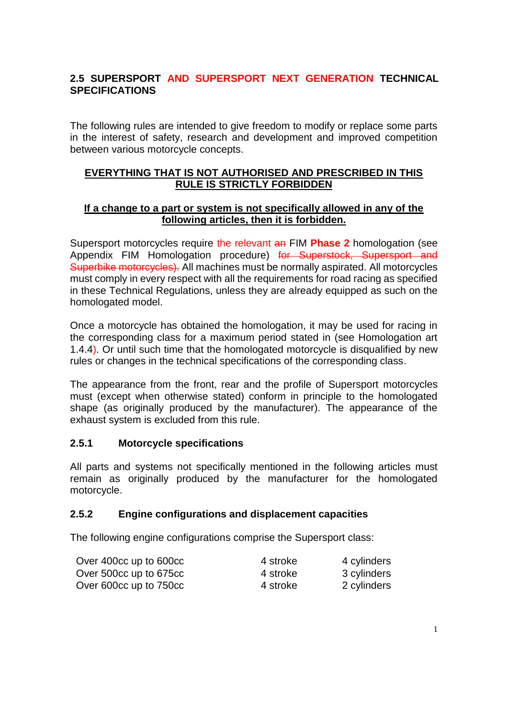## **2.5 SUPERSPORT AND SUPERSPORT NEXT GENERATION TECHNICAL SPECIFICATIONS**

The following rules are intended to give freedom to modify or replace some parts in the interest of safety, research and development and improved competition between various motorcycle concepts.

### **EVERYTHING THAT IS NOT AUTHORISED AND PRESCRIBED IN THIS RULE IS STRICTLY FORBIDDEN**

#### **If a change to a part or system is not specifically allowed in any of the following articles, then it is forbidden.**

Supersport motorcycles require the relevant an FIM **Phase 2** homologation (see Appendix FIM Homologation procedure) for Superstock, Supersport and Superbike motorcycles). All machines must be normally aspirated. All motorcycles must comply in every respect with all the requirements for road racing as specified in these Technical Regulations, unless they are already equipped as such on the homologated model.

Once a motorcycle has obtained the homologation, it may be used for racing in the corresponding class for a maximum period stated in (see Homologation art 1.4.4). Or until such time that the homologated motorcycle is disqualified by new rules or changes in the technical specifications of the corresponding class.

The appearance from the front, rear and the profile of Supersport motorcycles must (except when otherwise stated) conform in principle to the homologated shape (as originally produced by the manufacturer). The appearance of the exhaust system is excluded from this rule.

#### **2.5.1 Motorcycle specifications**

All parts and systems not specifically mentioned in the following articles must remain as originally produced by the manufacturer for the homologated motorcycle.

#### **2.5.2 Engine configurations and displacement capacities**

The following engine configurations comprise the Supersport class:

| Over 400cc up to 600cc | 4 stroke | 4 cylinders |
|------------------------|----------|-------------|
| Over 500cc up to 675cc | 4 stroke | 3 cylinders |
| Over 600cc up to 750cc | 4 stroke | 2 cylinders |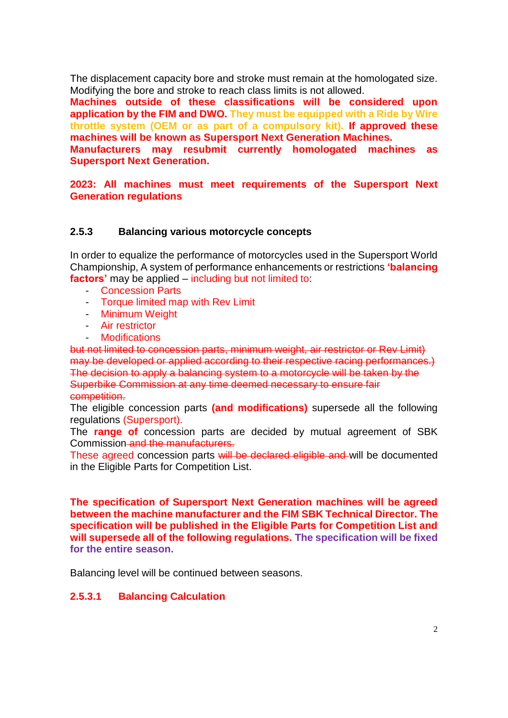The displacement capacity bore and stroke must remain at the homologated size. Modifying the bore and stroke to reach class limits is not allowed.

**Machines outside of these classifications will be considered upon application by the FIM and DWO. They must be equipped with a Ride by Wire throttle system (OEM or as part of a compulsory kit). If approved these machines will be known as Supersport Next Generation Machines.**

**Manufacturers may resubmit currently homologated machines as Supersport Next Generation.**

**2023: All machines must meet requirements of the Supersport Next Generation regulations**

### **2.5.3 Balancing various motorcycle concepts**

In order to equalize the performance of motorcycles used in the Supersport World Championship, A system of performance enhancements or restrictions **'balancing factors'** may be applied – including but not limited to:

- Concession Parts
- Torque limited map with Rev Limit
- Minimum Weight
- Air restrictor
- Modifications

but not limited to concession parts, minimum weight, air restrictor or Rev Limit) may be developed or applied according to their respective racing performances.) The decision to apply a balancing system to a motorcycle will be taken by the Superbike Commission at any time deemed necessary to ensure fair competition.

The eligible concession parts **(and modifications)** supersede all the following regulations (Supersport).

The **range of** concession parts are decided by mutual agreement of SBK Commission and the manufacturers.

These agreed concession parts will be declared eligible and will be documented in the Eligible Parts for Competition List.

**The specification of Supersport Next Generation machines will be agreed between the machine manufacturer and the FIM SBK Technical Director. The specification will be published in the Eligible Parts for Competition List and will supersede all of the following regulations. The specification will be fixed for the entire season.** 

Balancing level will be continued between seasons.

#### **2.5.3.1 Balancing Calculation**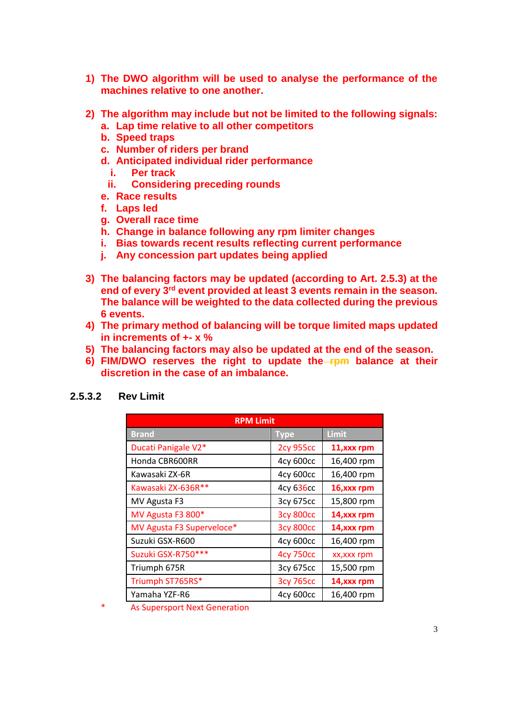- **1) The DWO algorithm will be used to analyse the performance of the machines relative to one another.**
- **2) The algorithm may include but not be limited to the following signals:**
	- **a. Lap time relative to all other competitors**
	- **b. Speed traps**
	- **c. Number of riders per brand**
	- **d. Anticipated individual rider performance**
		- **i. Per track**
		- **ii. Considering preceding rounds**
	- **e. Race results**
	- **f. Laps led**
	- **g. Overall race time**
	- **h. Change in balance following any rpm limiter changes**
	- **i. Bias towards recent results reflecting current performance**
	- **j. Any concession part updates being applied**
- **3) The balancing factors may be updated (according to Art. 2.5.3) at the end of every 3rd event provided at least 3 events remain in the season. The balance will be weighted to the data collected during the previous 6 events.**
- **4) The primary method of balancing will be torque limited maps updated in increments of +- x %**
- **5) The balancing factors may also be updated at the end of the season.**
- **6) FIM/DWO reserves the right to update the rpm balance at their discretion in the case of an imbalance.**

| <b>RPM Limit</b>          |                  |             |
|---------------------------|------------------|-------------|
| <b>Brand</b>              | <b>Type</b>      | Limit       |
| Ducati Panigale V2*       | <b>2cy 955cc</b> | 11, xxx rpm |
| Honda CBR600RR            | 4cy 600cc        | 16,400 rpm  |
| Kawasaki ZX-6R            | 4cy 600cc        | 16,400 rpm  |
| Kawasaki ZX-636R**        | 4cy 636cc        | 16, xxx rpm |
| MV Agusta F3              | 3cy 675cc        | 15,800 rpm  |
| MV Agusta F3 800*         | <b>3cy 800cc</b> | 14, xxx rpm |
| MV Agusta F3 Superveloce* | <b>3cy 800cc</b> | 14, xxx rpm |
| Suzuki GSX-R600           | 4cy 600cc        | 16,400 rpm  |
| Suzuki GSX-R750***        | <b>4cy 750cc</b> | xx, xxx rpm |
| Triumph 675R              | 3cy 675cc        | 15,500 rpm  |
| Triumph ST765RS*          | <b>3cy 765cc</b> | 14, xxx rpm |
| Yamaha YZF-R6             | 4cy 600cc        | 16,400 rpm  |

#### **2.5.3.2 Rev Limit**

\* As Supersport Next Generation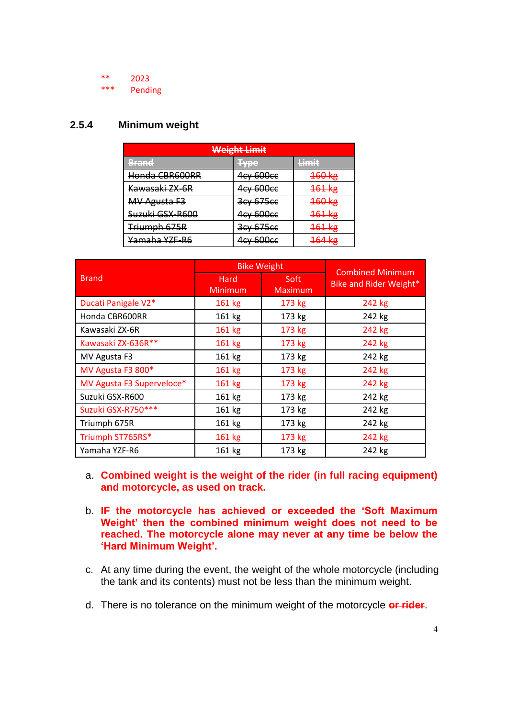\*\* 2023

Pending

### **2.5.4 Minimum weight**

| <b>Weight Limit</b>      |                       |                       |
|--------------------------|-----------------------|-----------------------|
| Rrand<br>二連 無名言言をつ       | Tyne<br><b>MARKET</b> | Limit<br>コミニミニス       |
| Honda CBR600RR           | 4cy 600cc             | $460 \text{ kg}$      |
| Kawasaki ZX-6R           | 4cy 600cc             | $161$ kg              |
| <b>MV Agusta F3</b>      | 3cy 675cc             | 160 kg                |
| Suzuki GSX-R600          | 4cy 600cc             | $161$ kg              |
| Triumph 675R             | 3cy 675cc             | $161$ kg              |
| <del>Yamaha YZF-R6</del> | 4 <del>cy 600cc</del> | $161$ kg<br>᠊ᡸᡃᠣᡃ᠇᠆ᠩᡵ |

|                           | <b>Bike Weight</b>     |                        | <b>Combined Minimum</b><br>Bike and Rider Weight* |
|---------------------------|------------------------|------------------------|---------------------------------------------------|
| <b>Brand</b>              | Hard<br><b>Minimum</b> | Soft<br><b>Maximum</b> |                                                   |
| Ducati Panigale V2*       | 161 kg                 | 173 kg                 | 242 kg                                            |
| Honda CBR600RR            | 161 kg                 | 173 kg                 | 242 kg                                            |
| Kawasaki ZX-6R            | 161 kg                 | 173 kg                 | 242 kg                                            |
| Kawasaki ZX-636R**        | 161 kg                 | 173 kg                 | 242 kg                                            |
| MV Agusta F3              | 161 kg                 | 173 kg                 | 242 kg                                            |
| MV Agusta F3 800*         | 161 kg                 | 173 kg                 | 242 kg                                            |
| MV Agusta F3 Superveloce* | 161 kg                 | 173 kg                 | 242 kg                                            |
| Suzuki GSX-R600           | 161 kg                 | 173 kg                 | 242 kg                                            |
| Suzuki GSX-R750***        | 161 kg                 | 173 kg                 | 242 kg                                            |
| Triumph 675R              | 161 kg                 | 173 kg                 | 242 kg                                            |
| Triumph ST765RS*          | 161 kg                 | 173 kg                 | 242 kg                                            |
| Yamaha YZF-R6             | 161 kg                 | 173 kg                 | 242 kg                                            |

- a. **Combined weight is the weight of the rider (in full racing equipment) and motorcycle, as used on track.**
- b. **IF the motorcycle has achieved or exceeded the 'Soft Maximum Weight' then the combined minimum weight does not need to be reached. The motorcycle alone may never at any time be below the 'Hard Minimum Weight'.**
- c. At any time during the event, the weight of the whole motorcycle (including the tank and its contents) must not be less than the minimum weight.
- d. There is no tolerance on the minimum weight of the motorcycle **or rider**.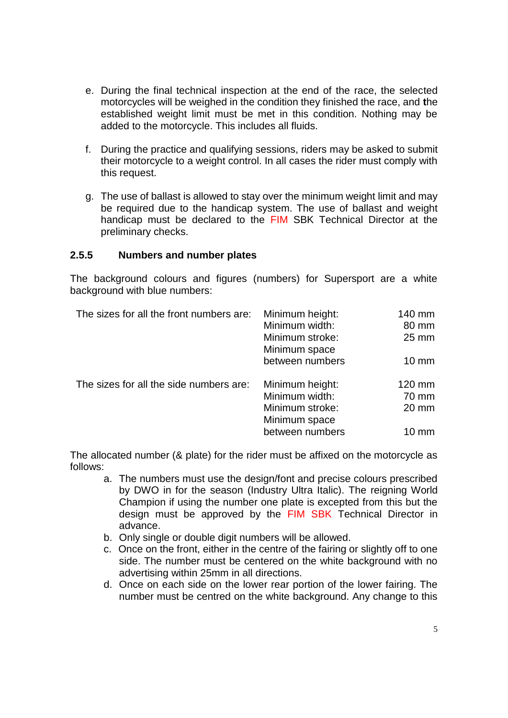- e. During the final technical inspection at the end of the race, the selected motorcycles will be weighed in the condition they finished the race, and **t**he established weight limit must be met in this condition. Nothing may be added to the motorcycle. This includes all fluids.
- f. During the practice and qualifying sessions, riders may be asked to submit their motorcycle to a weight control. In all cases the rider must comply with this request.
- g. The use of ballast is allowed to stay over the minimum weight limit and may be required due to the handicap system. The use of ballast and weight handicap must be declared to the FIM SBK Technical Director at the preliminary checks.

#### **2.5.5 Numbers and number plates**

The background colours and figures (numbers) for Supersport are a white background with blue numbers:

| The sizes for all the front numbers are: | Minimum height: | 140 mm          |
|------------------------------------------|-----------------|-----------------|
|                                          | Minimum width:  | 80 mm           |
|                                          | Minimum stroke: | $25 \text{ mm}$ |
|                                          | Minimum space   |                 |
|                                          | between numbers | $10 \text{ mm}$ |
| The sizes for all the side numbers are:  | Minimum height: | 120 mm          |
|                                          | Minimum width:  | 70 mm           |
|                                          | Minimum stroke: | 20 mm           |
|                                          | Minimum space   |                 |
|                                          | between numbers | 10 mm           |
|                                          |                 |                 |

The allocated number (& plate) for the rider must be affixed on the motorcycle as follows:

- a. The numbers must use the design/font and precise colours prescribed by DWO in for the season (Industry Ultra Italic). The reigning World Champion if using the number one plate is excepted from this but the design must be approved by the FIM SBK Technical Director in advance.
- b. Only single or double digit numbers will be allowed.
- c. Once on the front, either in the centre of the fairing or slightly off to one side. The number must be centered on the white background with no advertising within 25mm in all directions.
- d. Once on each side on the lower rear portion of the lower fairing. The number must be centred on the white background. Any change to this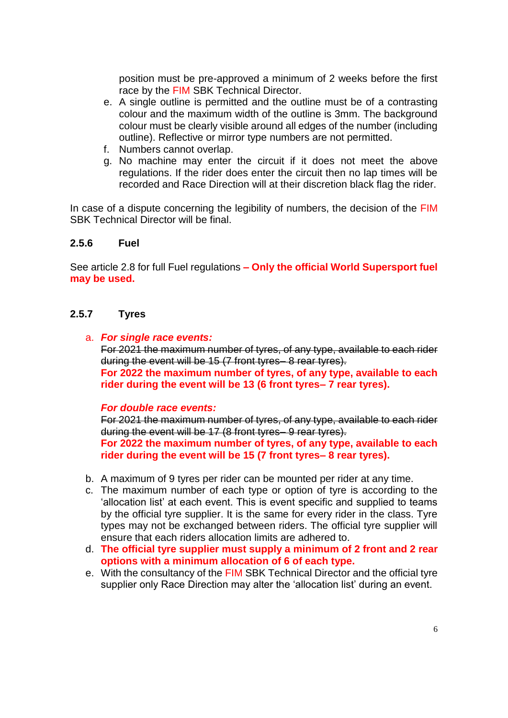position must be pre-approved a minimum of 2 weeks before the first race by the FIM SBK Technical Director.

- e. A single outline is permitted and the outline must be of a contrasting colour and the maximum width of the outline is 3mm. The background colour must be clearly visible around all edges of the number (including outline). Reflective or mirror type numbers are not permitted.
- f. Numbers cannot overlap.
- g. No machine may enter the circuit if it does not meet the above regulations. If the rider does enter the circuit then no lap times will be recorded and Race Direction will at their discretion black flag the rider.

In case of a dispute concerning the legibility of numbers, the decision of the FIM SBK Technical Director will be final.

#### **2.5.6 Fuel**

See article 2.8 for full Fuel regulations **– Only the official World Supersport fuel may be used.** 

#### **2.5.7 Tyres**

a. *For single race events:*

For 2021 the maximum number of tyres, of any type, available to each rider during the event will be 15 (7 front tyres– 8 rear tyres).

**For 2022 the maximum number of tyres, of any type, available to each rider during the event will be 13 (6 front tyres– 7 rear tyres).**

*For double race events:*

For 2021 the maximum number of tyres, of any type, available to each rider during the event will be 17 (8 front tyres– 9 rear tyres).

**For 2022 the maximum number of tyres, of any type, available to each rider during the event will be 15 (7 front tyres– 8 rear tyres).**

- b. A maximum of 9 tyres per rider can be mounted per rider at any time.
- c. The maximum number of each type or option of tyre is according to the 'allocation list' at each event. This is event specific and supplied to teams by the official tyre supplier. It is the same for every rider in the class. Tyre types may not be exchanged between riders. The official tyre supplier will ensure that each riders allocation limits are adhered to.
- d. **The official tyre supplier must supply a minimum of 2 front and 2 rear options with a minimum allocation of 6 of each type.**
- e. With the consultancy of the FIM SBK Technical Director and the official tyre supplier only Race Direction may alter the 'allocation list' during an event.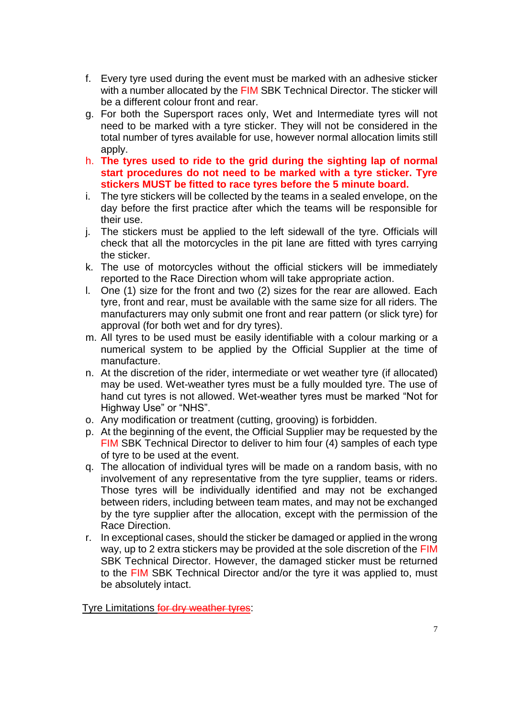- f. Every tyre used during the event must be marked with an adhesive sticker with a number allocated by the FIM SBK Technical Director. The sticker will be a different colour front and rear.
- g. For both the Supersport races only, Wet and Intermediate tyres will not need to be marked with a tyre sticker. They will not be considered in the total number of tyres available for use, however normal allocation limits still apply.
- h. **The tyres used to ride to the grid during the sighting lap of normal start procedures do not need to be marked with a tyre sticker. Tyre stickers MUST be fitted to race tyres before the 5 minute board.**
- i. The tyre stickers will be collected by the teams in a sealed envelope, on the day before the first practice after which the teams will be responsible for their use.
- j. The stickers must be applied to the left sidewall of the tyre. Officials will check that all the motorcycles in the pit lane are fitted with tyres carrying the sticker.
- k. The use of motorcycles without the official stickers will be immediately reported to the Race Direction whom will take appropriate action.
- l. One (1) size for the front and two (2) sizes for the rear are allowed. Each tyre, front and rear, must be available with the same size for all riders. The manufacturers may only submit one front and rear pattern (or slick tyre) for approval (for both wet and for dry tyres).
- m. All tyres to be used must be easily identifiable with a colour marking or a numerical system to be applied by the Official Supplier at the time of manufacture.
- n. At the discretion of the rider, intermediate or wet weather tyre (if allocated) may be used. Wet-weather tyres must be a fully moulded tyre. The use of hand cut tyres is not allowed. Wet-weather tyres must be marked "Not for Highway Use" or "NHS".
- o. Any modification or treatment (cutting, grooving) is forbidden.
- p. At the beginning of the event, the Official Supplier may be requested by the FIM SBK Technical Director to deliver to him four (4) samples of each type of tyre to be used at the event.
- q. The allocation of individual tyres will be made on a random basis, with no involvement of any representative from the tyre supplier, teams or riders. Those tyres will be individually identified and may not be exchanged between riders, including between team mates, and may not be exchanged by the tyre supplier after the allocation, except with the permission of the Race Direction.
- r. In exceptional cases, should the sticker be damaged or applied in the wrong way, up to 2 extra stickers may be provided at the sole discretion of the FIM SBK Technical Director. However, the damaged sticker must be returned to the FIM SBK Technical Director and/or the tyre it was applied to, must be absolutely intact.

Tyre Limitations for dry weather tyres: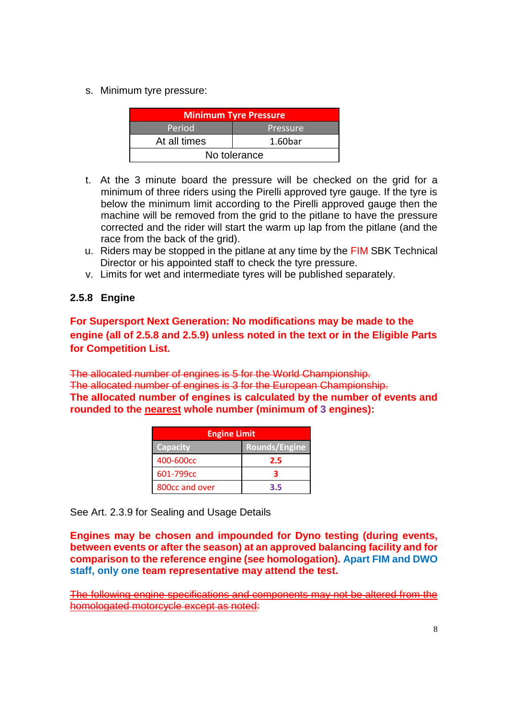s. Minimum tyre pressure:

| <b>Minimum Tyre Pressure</b> |                     |  |
|------------------------------|---------------------|--|
| Period                       | Pressure            |  |
| At all times                 | 1.60 <sub>bar</sub> |  |
| No tolerance                 |                     |  |

- t. At the 3 minute board the pressure will be checked on the grid for a minimum of three riders using the Pirelli approved tyre gauge. If the tyre is below the minimum limit according to the Pirelli approved gauge then the machine will be removed from the grid to the pitlane to have the pressure corrected and the rider will start the warm up lap from the pitlane (and the race from the back of the grid).
- u. Riders may be stopped in the pitlane at any time by the FIM SBK Technical Director or his appointed staff to check the tyre pressure.
- v. Limits for wet and intermediate tyres will be published separately.

## **2.5.8 Engine**

**For Supersport Next Generation: No modifications may be made to the engine (all of 2.5.8 and 2.5.9) unless noted in the text or in the Eligible Parts for Competition List.**

The allocated number of engines is 5 for the World Championship. The allocated number of engines is 3 for the European Championship.

**The allocated number of engines is calculated by the number of events and rounded to the nearest whole number (minimum of 3 engines):**

| <b>Engine Limit</b> |               |
|---------------------|---------------|
| <b>Capacity</b>     | Rounds/Engine |
| 400-600cc           | 2.5           |
| 601-799cc           |               |
| 800cc and over      | 3.5           |

See Art. 2.3.9 for Sealing and Usage Details

**Engines may be chosen and impounded for Dyno testing (during events, between events or after the season) at an approved balancing facility and for comparison to the reference engine (see homologation). Apart FIM and DWO staff, only one team representative may attend the test.**

The following engine specifications and components may not be altered from the homologated motorcycle except as noted: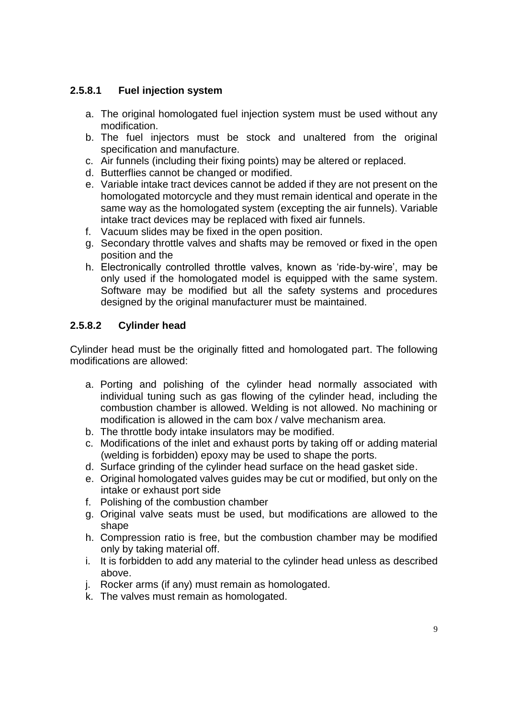# **2.5.8.1 Fuel injection system**

- a. The original homologated fuel injection system must be used without any modification.
- b. The fuel injectors must be stock and unaltered from the original specification and manufacture.
- c. Air funnels (including their fixing points) may be altered or replaced.
- d. Butterflies cannot be changed or modified.
- e. Variable intake tract devices cannot be added if they are not present on the homologated motorcycle and they must remain identical and operate in the same way as the homologated system (excepting the air funnels). Variable intake tract devices may be replaced with fixed air funnels.
- f. Vacuum slides may be fixed in the open position.
- g. Secondary throttle valves and shafts may be removed or fixed in the open position and the
- h. Electronically controlled throttle valves, known as 'ride-by-wire', may be only used if the homologated model is equipped with the same system. Software may be modified but all the safety systems and procedures designed by the original manufacturer must be maintained.

# **2.5.8.2 Cylinder head**

Cylinder head must be the originally fitted and homologated part. The following modifications are allowed:

- a. Porting and polishing of the cylinder head normally associated with individual tuning such as gas flowing of the cylinder head, including the combustion chamber is allowed. Welding is not allowed. No machining or modification is allowed in the cam box / valve mechanism area.
- b. The throttle body intake insulators may be modified.
- c. Modifications of the inlet and exhaust ports by taking off or adding material (welding is forbidden) epoxy may be used to shape the ports.
- d. Surface grinding of the cylinder head surface on the head gasket side.
- e. Original homologated valves guides may be cut or modified, but only on the intake or exhaust port side
- f. Polishing of the combustion chamber
- g. Original valve seats must be used, but modifications are allowed to the shape
- h. Compression ratio is free, but the combustion chamber may be modified only by taking material off.
- i. It is forbidden to add any material to the cylinder head unless as described above.
- j. Rocker arms (if any) must remain as homologated.
- k. The valves must remain as homologated.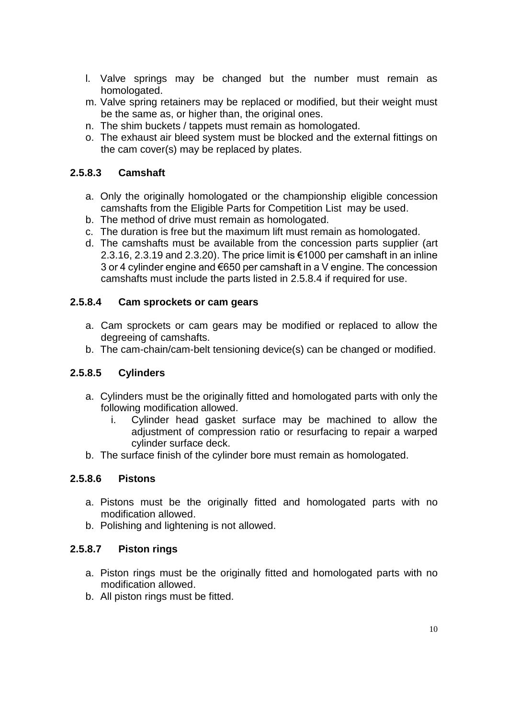- l. Valve springs may be changed but the number must remain as homologated.
- m. Valve spring retainers may be replaced or modified, but their weight must be the same as, or higher than, the original ones.
- n. The shim buckets / tappets must remain as homologated.
- o. The exhaust air bleed system must be blocked and the external fittings on the cam cover(s) may be replaced by plates.

# **2.5.8.3 Camshaft**

- a. Only the originally homologated or the championship eligible concession camshafts from the Eligible Parts for Competition List may be used.
- b. The method of drive must remain as homologated.
- c. The duration is free but the maximum lift must remain as homologated.
- d. The camshafts must be available from the concession parts supplier (art 2.3.16, 2.3.19 and 2.3.20). The price limit is €1000 per camshaft in an inline 3 or 4 cylinder engine and €650 per camshaft in a V engine. The concession camshafts must include the parts listed in 2.5.8.4 if required for use.

### **2.5.8.4 Cam sprockets or cam gears**

- a. Cam sprockets or cam gears may be modified or replaced to allow the degreeing of camshafts.
- b. The cam-chain/cam-belt tensioning device(s) can be changed or modified.

## **2.5.8.5 Cylinders**

- a. Cylinders must be the originally fitted and homologated parts with only the following modification allowed.
	- i. Cylinder head gasket surface may be machined to allow the adjustment of compression ratio or resurfacing to repair a warped cylinder surface deck.
- b. The surface finish of the cylinder bore must remain as homologated.

## **2.5.8.6 Pistons**

- a. Pistons must be the originally fitted and homologated parts with no modification allowed.
- b. Polishing and lightening is not allowed.

### **2.5.8.7 Piston rings**

- a. Piston rings must be the originally fitted and homologated parts with no modification allowed.
- b. All piston rings must be fitted.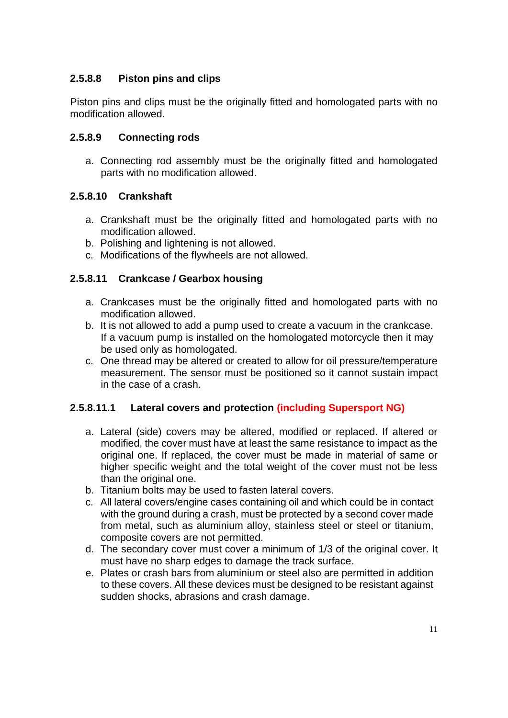# **2.5.8.8 Piston pins and clips**

Piston pins and clips must be the originally fitted and homologated parts with no modification allowed.

## **2.5.8.9 Connecting rods**

a. Connecting rod assembly must be the originally fitted and homologated parts with no modification allowed.

# **2.5.8.10 Crankshaft**

- a. Crankshaft must be the originally fitted and homologated parts with no modification allowed.
- b. Polishing and lightening is not allowed.
- c. Modifications of the flywheels are not allowed.

# **2.5.8.11 Crankcase / Gearbox housing**

- a. Crankcases must be the originally fitted and homologated parts with no modification allowed.
- b. It is not allowed to add a pump used to create a vacuum in the crankcase. If a vacuum pump is installed on the homologated motorcycle then it may be used only as homologated.
- c. One thread may be altered or created to allow for oil pressure/temperature measurement. The sensor must be positioned so it cannot sustain impact in the case of a crash.

## **2.5.8.11.1 Lateral covers and protection (including Supersport NG)**

- a. Lateral (side) covers may be altered, modified or replaced. If altered or modified, the cover must have at least the same resistance to impact as the original one. If replaced, the cover must be made in material of same or higher specific weight and the total weight of the cover must not be less than the original one.
- b. Titanium bolts may be used to fasten lateral covers.
- c. All lateral covers/engine cases containing oil and which could be in contact with the ground during a crash, must be protected by a second cover made from metal, such as aluminium alloy, stainless steel or steel or titanium, composite covers are not permitted.
- d. The secondary cover must cover a minimum of 1/3 of the original cover. It must have no sharp edges to damage the track surface.
- e. Plates or crash bars from aluminium or steel also are permitted in addition to these covers. All these devices must be designed to be resistant against sudden shocks, abrasions and crash damage.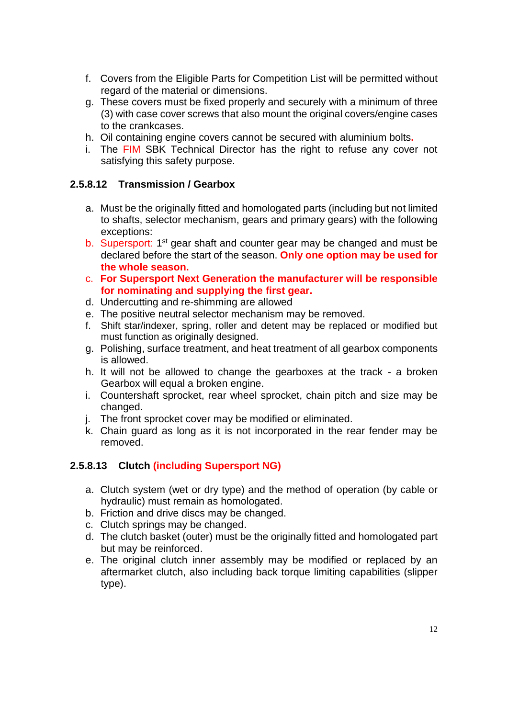- f. Covers from the Eligible Parts for Competition List will be permitted without regard of the material or dimensions.
- g. These covers must be fixed properly and securely with a minimum of three (3) with case cover screws that also mount the original covers/engine cases to the crankcases.
- h. Oil containing engine covers cannot be secured with aluminium bolts**.**
- i. The FIM SBK Technical Director has the right to refuse any cover not satisfying this safety purpose.

### **2.5.8.12 Transmission / Gearbox**

- a. Must be the originally fitted and homologated parts (including but not limited to shafts, selector mechanism, gears and primary gears) with the following exceptions:
- b. Supersport: 1<sup>st</sup> gear shaft and counter gear may be changed and must be declared before the start of the season. **Only one option may be used for the whole season.**
- c. **For Supersport Next Generation the manufacturer will be responsible for nominating and supplying the first gear.**
- d. Undercutting and re-shimming are allowed
- e. The positive neutral selector mechanism may be removed.
- f. Shift star/indexer, spring, roller and detent may be replaced or modified but must function as originally designed.
- g. Polishing, surface treatment, and heat treatment of all gearbox components is allowed.
- h. It will not be allowed to change the gearboxes at the track a broken Gearbox will equal a broken engine.
- i. Countershaft sprocket, rear wheel sprocket, chain pitch and size may be changed.
- j. The front sprocket cover may be modified or eliminated.
- k. Chain guard as long as it is not incorporated in the rear fender may be removed.

## **2.5.8.13 Clutch (including Supersport NG)**

- a. Clutch system (wet or dry type) and the method of operation (by cable or hydraulic) must remain as homologated.
- b. Friction and drive discs may be changed.
- c. Clutch springs may be changed.
- d. The clutch basket (outer) must be the originally fitted and homologated part but may be reinforced.
- e. The original clutch inner assembly may be modified or replaced by an aftermarket clutch, also including back torque limiting capabilities (slipper type).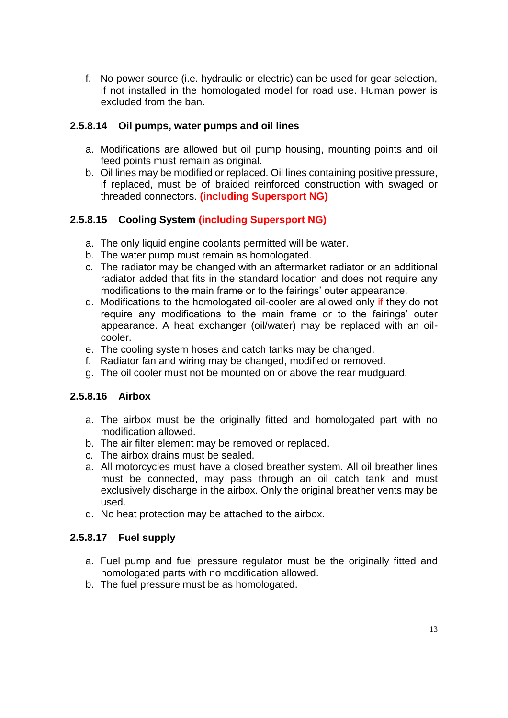f. No power source (i.e. hydraulic or electric) can be used for gear selection, if not installed in the homologated model for road use. Human power is excluded from the ban.

### **2.5.8.14 Oil pumps, water pumps and oil lines**

- a. Modifications are allowed but oil pump housing, mounting points and oil feed points must remain as original.
- b. Oil lines may be modified or replaced. Oil lines containing positive pressure, if replaced, must be of braided reinforced construction with swaged or threaded connectors. **(including Supersport NG)**

# **2.5.8.15 Cooling System (including Supersport NG)**

- a. The only liquid engine coolants permitted will be water.
- b. The water pump must remain as homologated.
- c. The radiator may be changed with an aftermarket radiator or an additional radiator added that fits in the standard location and does not require any modifications to the main frame or to the fairings' outer appearance.
- d. Modifications to the homologated oil-cooler are allowed only if they do not require any modifications to the main frame or to the fairings' outer appearance. A heat exchanger (oil/water) may be replaced with an oilcooler.
- e. The cooling system hoses and catch tanks may be changed.
- f. Radiator fan and wiring may be changed, modified or removed.
- g. The oil cooler must not be mounted on or above the rear mudguard.

#### **2.5.8.16 Airbox**

- a. The airbox must be the originally fitted and homologated part with no modification allowed.
- b. The air filter element may be removed or replaced.
- c. The airbox drains must be sealed.
- a. All motorcycles must have a closed breather system. All oil breather lines must be connected, may pass through an oil catch tank and must exclusively discharge in the airbox. Only the original breather vents may be used.
- d. No heat protection may be attached to the airbox.

## **2.5.8.17 Fuel supply**

- a. Fuel pump and fuel pressure regulator must be the originally fitted and homologated parts with no modification allowed.
- b. The fuel pressure must be as homologated.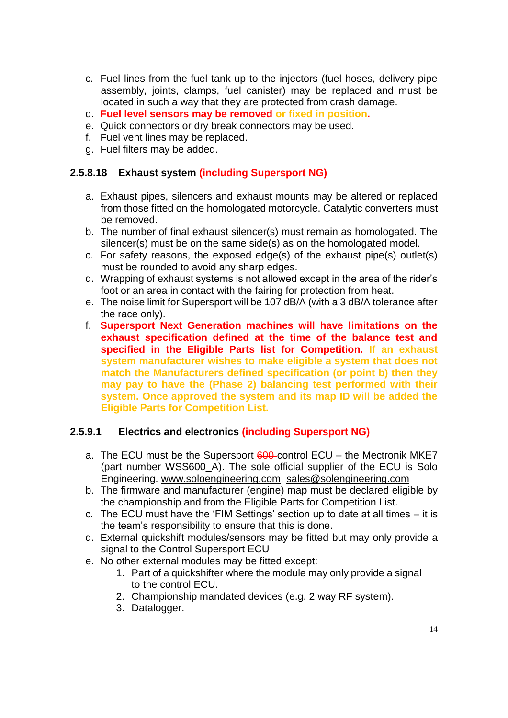- c. Fuel lines from the fuel tank up to the injectors (fuel hoses, delivery pipe assembly, joints, clamps, fuel canister) may be replaced and must be located in such a way that they are protected from crash damage.
- d. **Fuel level sensors may be removed or fixed in position.**
- e. Quick connectors or dry break connectors may be used.
- f. Fuel vent lines may be replaced.
- g. Fuel filters may be added.

#### **2.5.8.18 Exhaust system (including Supersport NG)**

- a. Exhaust pipes, silencers and exhaust mounts may be altered or replaced from those fitted on the homologated motorcycle. Catalytic converters must be removed.
- b. The number of final exhaust silencer(s) must remain as homologated. The silencer(s) must be on the same side(s) as on the homologated model.
- c. For safety reasons, the exposed edge(s) of the exhaust pipe(s) outlet(s) must be rounded to avoid any sharp edges.
- d. Wrapping of exhaust systems is not allowed except in the area of the rider's foot or an area in contact with the fairing for protection from heat.
- e. The noise limit for Supersport will be 107 dB/A (with a 3 dB/A tolerance after the race only).
- f. **Supersport Next Generation machines will have limitations on the exhaust specification defined at the time of the balance test and specified in the Eligible Parts list for Competition. If an exhaust system manufacturer wishes to make eligible a system that does not match the Manufacturers defined specification (or point b) then they may pay to have the (Phase 2) balancing test performed with their system. Once approved the system and its map ID will be added the Eligible Parts for Competition List.**

#### **2.5.9.1 Electrics and electronics (including Supersport NG)**

- a. The ECU must be the Supersport  $600$ -control ECU the Mectronik MKE7 (part number WSS600\_A). The sole official supplier of the ECU is Solo Engineering. [www.soloengineering.com,](http://www.soloengineering.com/) [sales@solengineering.com](mailto:sales@solengineering.com)
- b. The firmware and manufacturer (engine) map must be declared eligible by the championship and from the Eligible Parts for Competition List.
- c. The ECU must have the 'FIM Settings' section up to date at all times it is the team's responsibility to ensure that this is done.
- d. External quickshift modules/sensors may be fitted but may only provide a signal to the Control Supersport ECU
- e. No other external modules may be fitted except:
	- 1. Part of a quickshifter where the module may only provide a signal to the control ECU.
	- 2. Championship mandated devices (e.g. 2 way RF system).
	- 3. Datalogger.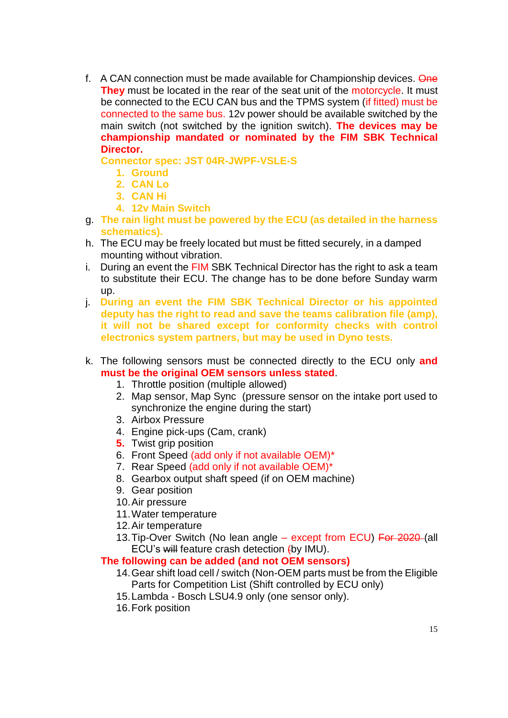f. A CAN connection must be made available for Championship devices. One **They** must be located in the rear of the seat unit of the motorcycle. It must be connected to the ECU CAN bus and the TPMS system (if fitted) must be connected to the same bus. 12v power should be available switched by the main switch (not switched by the ignition switch). **The devices may be championship mandated or nominated by the FIM SBK Technical Director.**

**Connector spec: JST 04R-JWPF-VSLE-S**

- **1. Ground**
- **2. CAN Lo**
- **3. CAN Hi**
- **4. 12v Main Switch**
- g. **The rain light must be powered by the ECU (as detailed in the harness schematics).**
- h. The ECU may be freely located but must be fitted securely, in a damped mounting without vibration.
- i. During an event the FIM SBK Technical Director has the right to ask a team to substitute their ECU. The change has to be done before Sunday warm up.
- j. **During an event the FIM SBK Technical Director or his appointed deputy has the right to read and save the teams calibration file (amp), it will not be shared except for conformity checks with control electronics system partners, but may be used in Dyno tests.**
- k. The following sensors must be connected directly to the ECU only **and must be the original OEM sensors unless stated**.
	- 1. Throttle position (multiple allowed)
	- 2. Map sensor, Map Sync (pressure sensor on the intake port used to synchronize the engine during the start)
	- 3. Airbox Pressure
	- 4. Engine pick-ups (Cam, crank)
	- **5.** Twist grip position
	- 6. Front Speed (add only if not available OEM)\*
	- 7. Rear Speed (add only if not available OEM)\*
	- 8. Gearbox output shaft speed (if on OEM machine)
	- 9. Gear position
	- 10.Air pressure
	- 11.Water temperature
	- 12.Air temperature
	- 13. Tip-Over Switch (No lean angle except from ECU) For 2020-(all ECU's will feature crash detection (by IMU).

## **The following can be added (and not OEM sensors)**

- 14.Gear shift load cell / switch (Non-OEM parts must be from the Eligible Parts for Competition List (Shift controlled by ECU only)
- 15.Lambda Bosch LSU4.9 only (one sensor only).
- 16.Fork position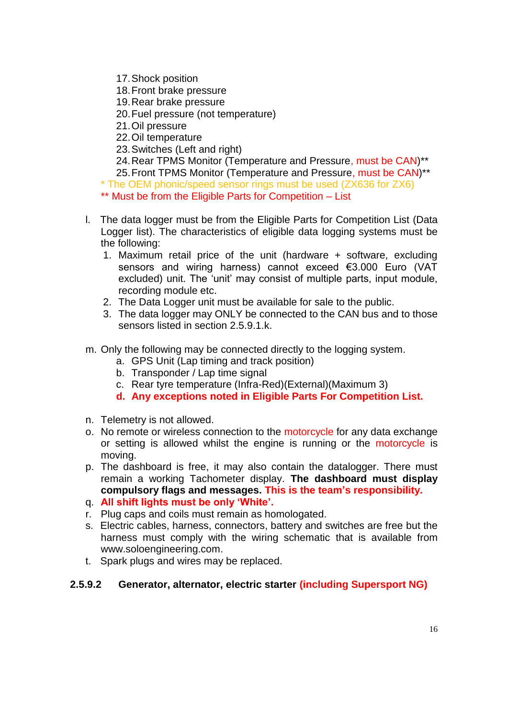- 17.Shock position
- 18.Front brake pressure
- 19.Rear brake pressure
- 20.Fuel pressure (not temperature)
- 21.Oil pressure
- 22.Oil temperature
- 23.Switches (Left and right)

24.Rear TPMS Monitor (Temperature and Pressure, must be CAN)\*\*

25.Front TPMS Monitor (Temperature and Pressure, must be CAN)\*\*

\* The OEM phonic/speed sensor rings must be used (ZX636 for ZX6)

- \*\* Must be from the Eligible Parts for Competition List
- l. The data logger must be from the Eligible Parts for Competition List (Data Logger list). The characteristics of eligible data logging systems must be the following:
	- 1. Maximum retail price of the unit (hardware + software, excluding sensors and wiring harness) cannot exceed €3.000 Euro (VAT excluded) unit. The 'unit' may consist of multiple parts, input module, recording module etc.
	- 2. The Data Logger unit must be available for sale to the public.
	- 3. The data logger may ONLY be connected to the CAN bus and to those sensors listed in section 2.5.9.1.k.
- m. Only the following may be connected directly to the logging system.
	- a. GPS Unit (Lap timing and track position)
	- b. Transponder / Lap time signal
	- c. Rear tyre temperature (Infra-Red)(External)(Maximum 3)
	- **d. Any exceptions noted in Eligible Parts For Competition List.**
- n. Telemetry is not allowed.
- o. No remote or wireless connection to the motorcycle for any data exchange or setting is allowed whilst the engine is running or the motorcycle is moving.
- p. The dashboard is free, it may also contain the datalogger. There must remain a working Tachometer display. **The dashboard must display compulsory flags and messages. This is the team's responsibility.**
- q. **All shift lights must be only 'White'.**
- r. Plug caps and coils must remain as homologated.
- s. Electric cables, harness, connectors, battery and switches are free but the harness must comply with the wiring schematic that is available from www.soloengineering.com.
- t. Spark plugs and wires may be replaced.

## **2.5.9.2 Generator, alternator, electric starter (including Supersport NG)**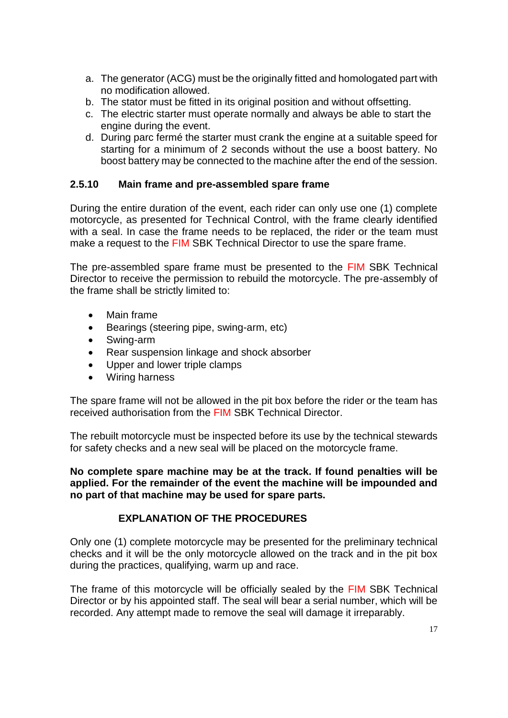- a. The generator (ACG) must be the originally fitted and homologated part with no modification allowed.
- b. The stator must be fitted in its original position and without offsetting.
- c. The electric starter must operate normally and always be able to start the engine during the event.
- d. During parc fermé the starter must crank the engine at a suitable speed for starting for a minimum of 2 seconds without the use a boost battery. No boost battery may be connected to the machine after the end of the session.

### **2.5.10 Main frame and pre-assembled spare frame**

During the entire duration of the event, each rider can only use one (1) complete motorcycle, as presented for Technical Control, with the frame clearly identified with a seal. In case the frame needs to be replaced, the rider or the team must make a request to the FIM SBK Technical Director to use the spare frame.

The pre-assembled spare frame must be presented to the FIM SBK Technical Director to receive the permission to rebuild the motorcycle. The pre-assembly of the frame shall be strictly limited to:

- Main frame
- Bearings (steering pipe, swing-arm, etc)
- Swing-arm
- Rear suspension linkage and shock absorber
- Upper and lower triple clamps
- Wiring harness

The spare frame will not be allowed in the pit box before the rider or the team has received authorisation from the FIM SBK Technical Director.

The rebuilt motorcycle must be inspected before its use by the technical stewards for safety checks and a new seal will be placed on the motorcycle frame.

**No complete spare machine may be at the track. If found penalties will be applied. For the remainder of the event the machine will be impounded and no part of that machine may be used for spare parts.**

#### **EXPLANATION OF THE PROCEDURES**

Only one (1) complete motorcycle may be presented for the preliminary technical checks and it will be the only motorcycle allowed on the track and in the pit box during the practices, qualifying, warm up and race.

The frame of this motorcycle will be officially sealed by the FIM SBK Technical Director or by his appointed staff. The seal will bear a serial number, which will be recorded. Any attempt made to remove the seal will damage it irreparably.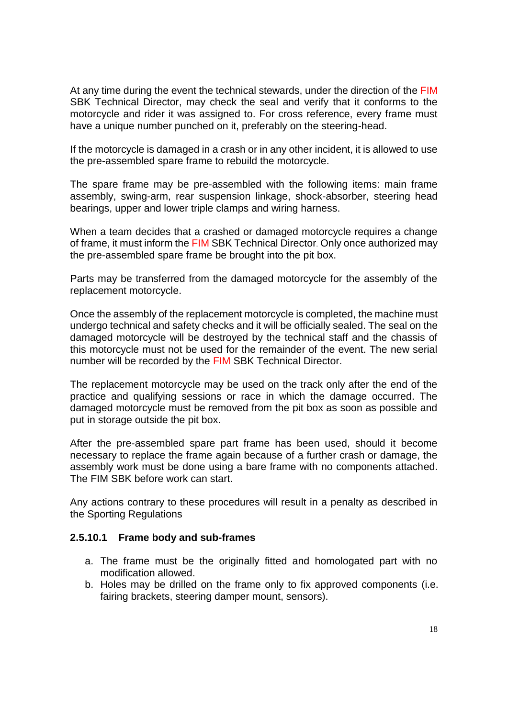At any time during the event the technical stewards, under the direction of the FIM SBK Technical Director, may check the seal and verify that it conforms to the motorcycle and rider it was assigned to. For cross reference, every frame must have a unique number punched on it, preferably on the steering-head.

If the motorcycle is damaged in a crash or in any other incident, it is allowed to use the pre-assembled spare frame to rebuild the motorcycle.

The spare frame may be pre-assembled with the following items: main frame assembly, swing-arm, rear suspension linkage, shock-absorber, steering head bearings, upper and lower triple clamps and wiring harness.

When a team decides that a crashed or damaged motorcycle requires a change of frame, it must inform the FIM SBK Technical Director. Only once authorized may the pre-assembled spare frame be brought into the pit box.

Parts may be transferred from the damaged motorcycle for the assembly of the replacement motorcycle.

Once the assembly of the replacement motorcycle is completed, the machine must undergo technical and safety checks and it will be officially sealed. The seal on the damaged motorcycle will be destroyed by the technical staff and the chassis of this motorcycle must not be used for the remainder of the event. The new serial number will be recorded by the FIM SBK Technical Director.

The replacement motorcycle may be used on the track only after the end of the practice and qualifying sessions or race in which the damage occurred. The damaged motorcycle must be removed from the pit box as soon as possible and put in storage outside the pit box.

After the pre-assembled spare part frame has been used, should it become necessary to replace the frame again because of a further crash or damage, the assembly work must be done using a bare frame with no components attached. The FIM SBK before work can start.

Any actions contrary to these procedures will result in a penalty as described in the Sporting Regulations

#### **2.5.10.1 Frame body and sub-frames**

- a. The frame must be the originally fitted and homologated part with no modification allowed.
- b. Holes may be drilled on the frame only to fix approved components (i.e. fairing brackets, steering damper mount, sensors).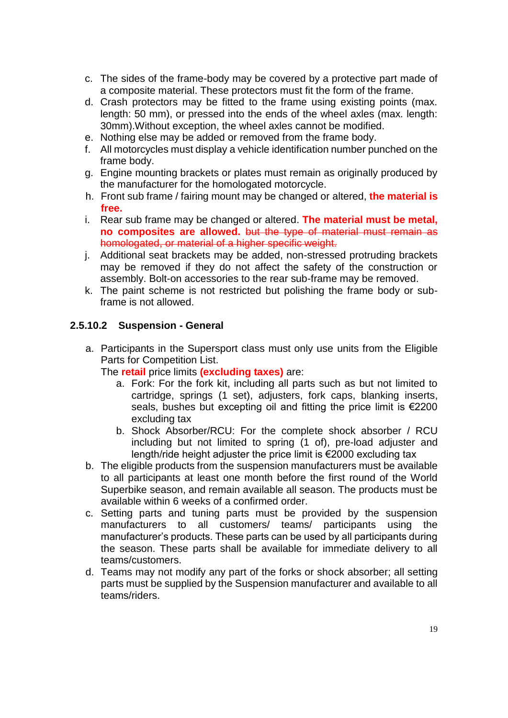- c. The sides of the frame-body may be covered by a protective part made of a composite material. These protectors must fit the form of the frame.
- d. Crash protectors may be fitted to the frame using existing points (max. length: 50 mm), or pressed into the ends of the wheel axles (max. length: 30mm).Without exception, the wheel axles cannot be modified.
- e. Nothing else may be added or removed from the frame body.
- f. All motorcycles must display a vehicle identification number punched on the frame body.
- g. Engine mounting brackets or plates must remain as originally produced by the manufacturer for the homologated motorcycle.
- h. Front sub frame / fairing mount may be changed or altered, **the material is free.**
- i. Rear sub frame may be changed or altered. **The material must be metal, no composites are allowed.** but the type of material must remain as homologated, or material of a higher specific weight.
- j. Additional seat brackets may be added, non-stressed protruding brackets may be removed if they do not affect the safety of the construction or assembly. Bolt-on accessories to the rear sub-frame may be removed.
- k. The paint scheme is not restricted but polishing the frame body or subframe is not allowed.

#### **2.5.10.2 Suspension - General**

a. Participants in the Supersport class must only use units from the Eligible Parts for Competition List.

The **retail** price limits **(excluding taxes)** are:

- a. Fork: For the fork kit, including all parts such as but not limited to cartridge, springs (1 set), adjusters, fork caps, blanking inserts, seals, bushes but excepting oil and fitting the price limit is €2200 excluding tax
- b. Shock Absorber/RCU: For the complete shock absorber / RCU including but not limited to spring (1 of), pre-load adjuster and length/ride height adjuster the price limit is €2000 excluding tax
- b. The eligible products from the suspension manufacturers must be available to all participants at least one month before the first round of the World Superbike season, and remain available all season. The products must be available within 6 weeks of a confirmed order.
- c. Setting parts and tuning parts must be provided by the suspension manufacturers to all customers/ teams/ participants using the manufacturer's products. These parts can be used by all participants during the season. These parts shall be available for immediate delivery to all teams/customers.
- d. Teams may not modify any part of the forks or shock absorber; all setting parts must be supplied by the Suspension manufacturer and available to all teams/riders.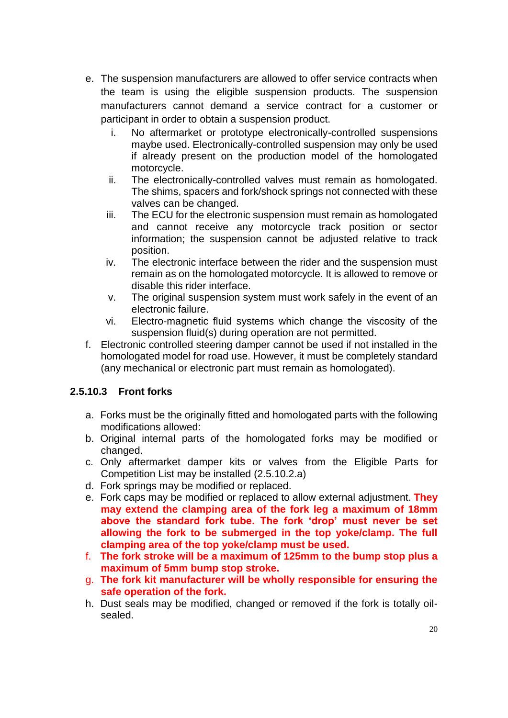- e. The suspension manufacturers are allowed to offer service contracts when the team is using the eligible suspension products. The suspension manufacturers cannot demand a service contract for a customer or participant in order to obtain a suspension product.
	- i. No aftermarket or prototype electronically-controlled suspensions maybe used. Electronically-controlled suspension may only be used if already present on the production model of the homologated motorcycle.
	- ii. The electronically-controlled valves must remain as homologated. The shims, spacers and fork/shock springs not connected with these valves can be changed.
	- iii. The ECU for the electronic suspension must remain as homologated and cannot receive any motorcycle track position or sector information; the suspension cannot be adjusted relative to track position.
	- iv. The electronic interface between the rider and the suspension must remain as on the homologated motorcycle. It is allowed to remove or disable this rider interface.
	- v. The original suspension system must work safely in the event of an electronic failure.
	- vi. Electro-magnetic fluid systems which change the viscosity of the suspension fluid(s) during operation are not permitted.
- f. Electronic controlled steering damper cannot be used if not installed in the homologated model for road use. However, it must be completely standard (any mechanical or electronic part must remain as homologated).

# **2.5.10.3 Front forks**

- a. Forks must be the originally fitted and homologated parts with the following modifications allowed:
- b. Original internal parts of the homologated forks may be modified or changed.
- c. Only aftermarket damper kits or valves from the Eligible Parts for Competition List may be installed (2.5.10.2.a)
- d. Fork springs may be modified or replaced.
- e. Fork caps may be modified or replaced to allow external adjustment. **They may extend the clamping area of the fork leg a maximum of 18mm above the standard fork tube. The fork 'drop' must never be set allowing the fork to be submerged in the top yoke/clamp. The full clamping area of the top yoke/clamp must be used.**
- f. **The fork stroke will be a maximum of 125mm to the bump stop plus a maximum of 5mm bump stop stroke.**
- g. **The fork kit manufacturer will be wholly responsible for ensuring the safe operation of the fork.**
- h. Dust seals may be modified, changed or removed if the fork is totally oilsealed.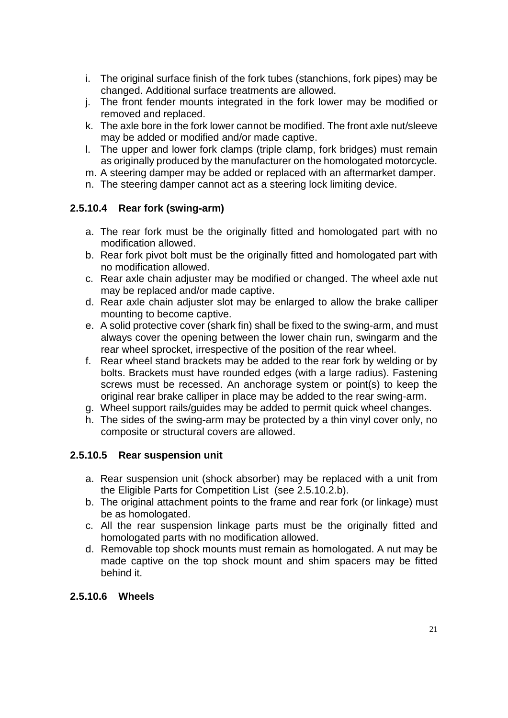- i. The original surface finish of the fork tubes (stanchions, fork pipes) may be changed. Additional surface treatments are allowed.
- j. The front fender mounts integrated in the fork lower may be modified or removed and replaced.
- k. The axle bore in the fork lower cannot be modified. The front axle nut/sleeve may be added or modified and/or made captive.
- l. The upper and lower fork clamps (triple clamp, fork bridges) must remain as originally produced by the manufacturer on the homologated motorcycle.
- m. A steering damper may be added or replaced with an aftermarket damper.
- n. The steering damper cannot act as a steering lock limiting device.

## **2.5.10.4 Rear fork (swing-arm)**

- a. The rear fork must be the originally fitted and homologated part with no modification allowed.
- b. Rear fork pivot bolt must be the originally fitted and homologated part with no modification allowed.
- c. Rear axle chain adjuster may be modified or changed. The wheel axle nut may be replaced and/or made captive.
- d. Rear axle chain adjuster slot may be enlarged to allow the brake calliper mounting to become captive.
- e. A solid protective cover (shark fin) shall be fixed to the swing-arm, and must always cover the opening between the lower chain run, swingarm and the rear wheel sprocket, irrespective of the position of the rear wheel.
- f. Rear wheel stand brackets may be added to the rear fork by welding or by bolts. Brackets must have rounded edges (with a large radius). Fastening screws must be recessed. An anchorage system or point(s) to keep the original rear brake calliper in place may be added to the rear swing-arm.
- g. Wheel support rails/guides may be added to permit quick wheel changes.
- h. The sides of the swing-arm may be protected by a thin vinyl cover only, no composite or structural covers are allowed.

## **2.5.10.5 Rear suspension unit**

- a. Rear suspension unit (shock absorber) may be replaced with a unit from the Eligible Parts for Competition List (see 2.5.10.2.b).
- b. The original attachment points to the frame and rear fork (or linkage) must be as homologated.
- c. All the rear suspension linkage parts must be the originally fitted and homologated parts with no modification allowed.
- d. Removable top shock mounts must remain as homologated. A nut may be made captive on the top shock mount and shim spacers may be fitted behind it.

#### **2.5.10.6 Wheels**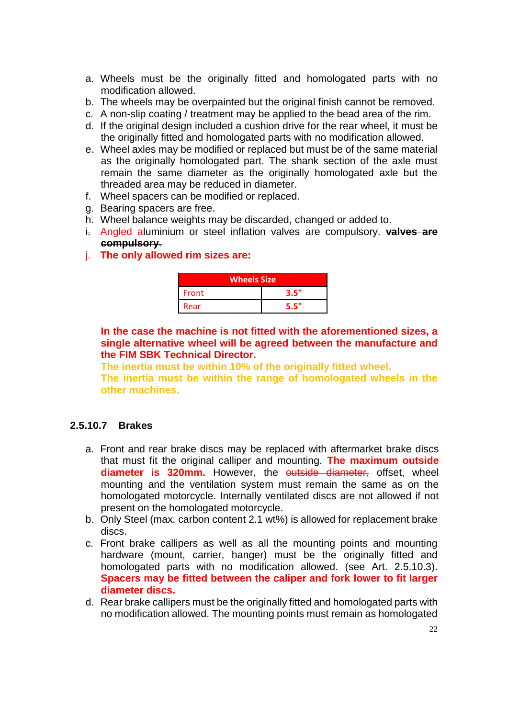- a. Wheels must be the originally fitted and homologated parts with no modification allowed.
- b. The wheels may be overpainted but the original finish cannot be removed.
- c. A non-slip coating / treatment may be applied to the bead area of the rim.
- d. If the original design included a cushion drive for the rear wheel, it must be the originally fitted and homologated parts with no modification allowed.
- e. Wheel axles may be modified or replaced but must be of the same material as the originally homologated part. The shank section of the axle must remain the same diameter as the originally homologated axle but the threaded area may be reduced in diameter.
- f. Wheel spacers can be modified or replaced.
- g. Bearing spacers are free.
- h. Wheel balance weights may be discarded, changed or added to.
- i. Angled aluminium or steel inflation valves are compulsory. **valves are compulsory**.
- j. **The only allowed rim sizes are:**

| <b>Wheels Size</b> |      |  |
|--------------------|------|--|
| Front              | 3.5" |  |
| Rear               | 5.5" |  |

**In the case the machine is not fitted with the aforementioned sizes, a single alternative wheel will be agreed between the manufacture and the FIM SBK Technical Director.**

**The inertia must be within 10% of the originally fitted wheel.**

**The inertia must be within the range of homologated wheels in the other machines.**

## **2.5.10.7 Brakes**

- a. Front and rear brake discs may be replaced with aftermarket brake discs that must fit the original calliper and mounting. **The maximum outside diameter is 320mm.** However, the outside diameter, offset, wheel mounting and the ventilation system must remain the same as on the homologated motorcycle. Internally ventilated discs are not allowed if not present on the homologated motorcycle.
- b. Only Steel (max. carbon content 2.1 wt%) is allowed for replacement brake discs.
- c. Front brake callipers as well as all the mounting points and mounting hardware (mount, carrier, hanger) must be the originally fitted and homologated parts with no modification allowed. (see Art. 2.5.10.3). **Spacers may be fitted between the caliper and fork lower to fit larger diameter discs.**
- d. Rear brake callipers must be the originally fitted and homologated parts with no modification allowed. The mounting points must remain as homologated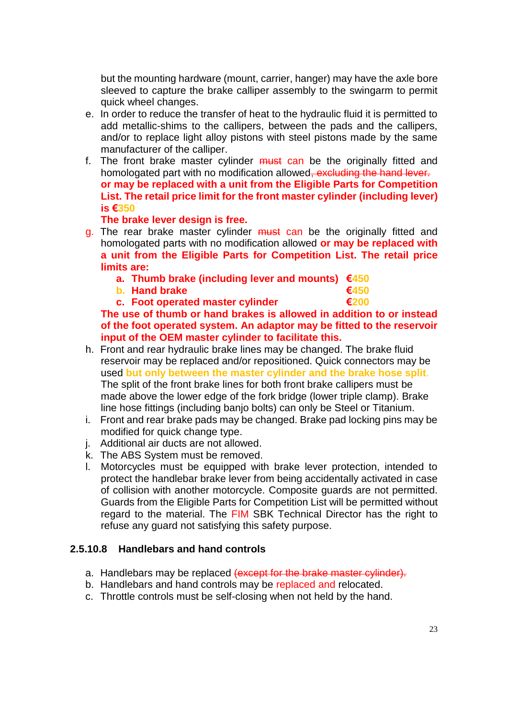but the mounting hardware (mount, carrier, hanger) may have the axle bore sleeved to capture the brake calliper assembly to the swingarm to permit quick wheel changes.

- e. In order to reduce the transfer of heat to the hydraulic fluid it is permitted to add metallic-shims to the callipers, between the pads and the callipers, and/or to replace light alloy pistons with steel pistons made by the same manufacturer of the calliper.
- f. The front brake master cylinder must can be the originally fitted and homologated part with no modification allowed, excluding the hand lever. **or may be replaced with a unit from the Eligible Parts for Competition List. The retail price limit for the front master cylinder (including lever) is €350**

#### **The brake lever design is free.**

- g. The rear brake master cylinder must can be the originally fitted and homologated parts with no modification allowed **or may be replaced with a unit from the Eligible Parts for Competition List. The retail price limits are:**
	- **a. Thumb brake (including lever and mounts) €450**
	- **b. Hand brake €450**
	- **c. Foot operated master cylinder €200**

**The use of thumb or hand brakes is allowed in addition to or instead of the foot operated system. An adaptor may be fitted to the reservoir input of the OEM master cylinder to facilitate this.**

- h. Front and rear hydraulic brake lines may be changed. The brake fluid reservoir may be replaced and/or repositioned. Quick connectors may be used **but only between the master cylinder and the brake hose split**. The split of the front brake lines for both front brake callipers must be made above the lower edge of the fork bridge (lower triple clamp). Brake line hose fittings (including banjo bolts) can only be Steel or Titanium.
- i. Front and rear brake pads may be changed. Brake pad locking pins may be modified for quick change type.
- j. Additional air ducts are not allowed.
- k. The ABS System must be removed.
- l. Motorcycles must be equipped with brake lever protection, intended to protect the handlebar brake lever from being accidentally activated in case of collision with another motorcycle. Composite guards are not permitted. Guards from the Eligible Parts for Competition List will be permitted without regard to the material. The FIM SBK Technical Director has the right to refuse any guard not satisfying this safety purpose.

#### **2.5.10.8 Handlebars and hand controls**

- a. Handlebars may be replaced (except for the brake master cylinder).
- b. Handlebars and hand controls may be replaced and relocated.
- c. Throttle controls must be self-closing when not held by the hand.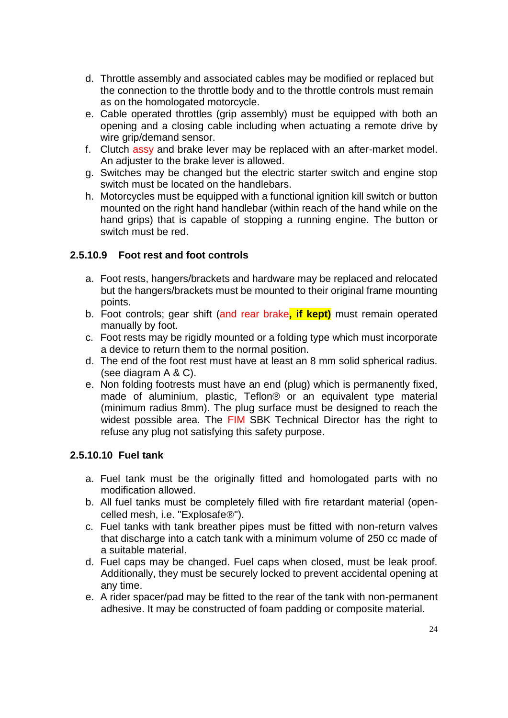- d. Throttle assembly and associated cables may be modified or replaced but the connection to the throttle body and to the throttle controls must remain as on the homologated motorcycle.
- e. Cable operated throttles (grip assembly) must be equipped with both an opening and a closing cable including when actuating a remote drive by wire grip/demand sensor.
- f. Clutch assy and brake lever may be replaced with an after-market model. An adjuster to the brake lever is allowed.
- g. Switches may be changed but the electric starter switch and engine stop switch must be located on the handlebars.
- h. Motorcycles must be equipped with a functional ignition kill switch or button mounted on the right hand handlebar (within reach of the hand while on the hand grips) that is capable of stopping a running engine. The button or switch must be red.

### **2.5.10.9 Foot rest and foot controls**

- a. Foot rests, hangers/brackets and hardware may be replaced and relocated but the hangers/brackets must be mounted to their original frame mounting points.
- b. Foot controls; gear shift (and rear brake**, if kept)** must remain operated manually by foot.
- c. Foot rests may be rigidly mounted or a folding type which must incorporate a device to return them to the normal position.
- d. The end of the foot rest must have at least an 8 mm solid spherical radius. (see diagram A & C).
- e. Non folding footrests must have an end (plug) which is permanently fixed, made of aluminium, plastic, Teflon® or an equivalent type material (minimum radius 8mm). The plug surface must be designed to reach the widest possible area. The FIM SBK Technical Director has the right to refuse any plug not satisfying this safety purpose.

#### **2.5.10.10 Fuel tank**

- a. Fuel tank must be the originally fitted and homologated parts with no modification allowed.
- b. All fuel tanks must be completely filled with fire retardant material (opencelled mesh, i.e. "Explosafe®").
- c. Fuel tanks with tank breather pipes must be fitted with non-return valves that discharge into a catch tank with a minimum volume of 250 cc made of a suitable material.
- d. Fuel caps may be changed. Fuel caps when closed, must be leak proof. Additionally, they must be securely locked to prevent accidental opening at any time.
- e. A rider spacer/pad may be fitted to the rear of the tank with non-permanent adhesive. It may be constructed of foam padding or composite material.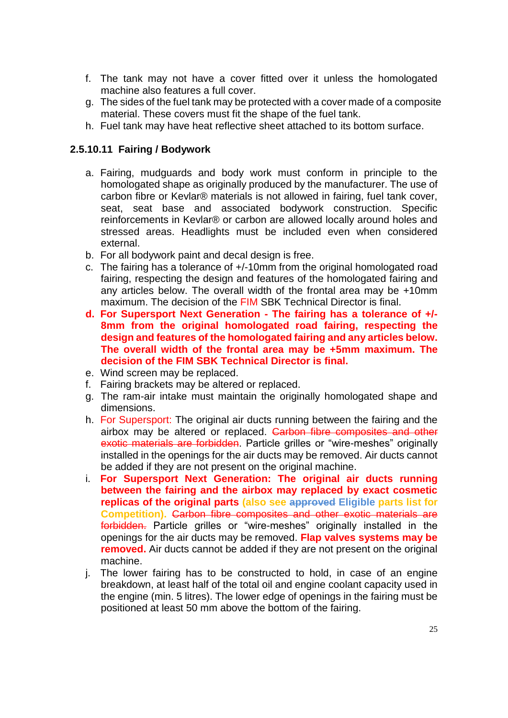- f. The tank may not have a cover fitted over it unless the homologated machine also features a full cover.
- g. The sides of the fuel tank may be protected with a cover made of a composite material. These covers must fit the shape of the fuel tank.
- h. Fuel tank may have heat reflective sheet attached to its bottom surface.

## **2.5.10.11 Fairing / Bodywork**

- a. Fairing, mudguards and body work must conform in principle to the homologated shape as originally produced by the manufacturer. The use of carbon fibre or Kevlar® materials is not allowed in fairing, fuel tank cover, seat, seat base and associated bodywork construction. Specific reinforcements in Kevlar® or carbon are allowed locally around holes and stressed areas. Headlights must be included even when considered external.
- b. For all bodywork paint and decal design is free.
- c. The fairing has a tolerance of +/-10mm from the original homologated road fairing, respecting the design and features of the homologated fairing and any articles below. The overall width of the frontal area may be +10mm maximum. The decision of the FIM SBK Technical Director is final.
- **d. For Supersport Next Generation - The fairing has a tolerance of +/- 8mm from the original homologated road fairing, respecting the design and features of the homologated fairing and any articles below. The overall width of the frontal area may be +5mm maximum. The decision of the FIM SBK Technical Director is final.**
- e. Wind screen may be replaced.
- f. Fairing brackets may be altered or replaced.
- g. The ram-air intake must maintain the originally homologated shape and dimensions.
- h. For Supersport: The original air ducts running between the fairing and the airbox may be altered or replaced. Carbon fibre composites and other exotic materials are forbidden. Particle grilles or "wire-meshes" originally installed in the openings for the air ducts may be removed. Air ducts cannot be added if they are not present on the original machine.
- i. **For Supersport Next Generation: The original air ducts running between the fairing and the airbox may replaced by exact cosmetic replicas of the original parts (also see approved Eligible parts list for Competition).** Carbon fibre composites and other exotic materials are forbidden. Particle grilles or "wire-meshes" originally installed in the openings for the air ducts may be removed. **Flap valves systems may be removed.** Air ducts cannot be added if they are not present on the original machine.
- j. The lower fairing has to be constructed to hold, in case of an engine breakdown, at least half of the total oil and engine coolant capacity used in the engine (min. 5 litres). The lower edge of openings in the fairing must be positioned at least 50 mm above the bottom of the fairing.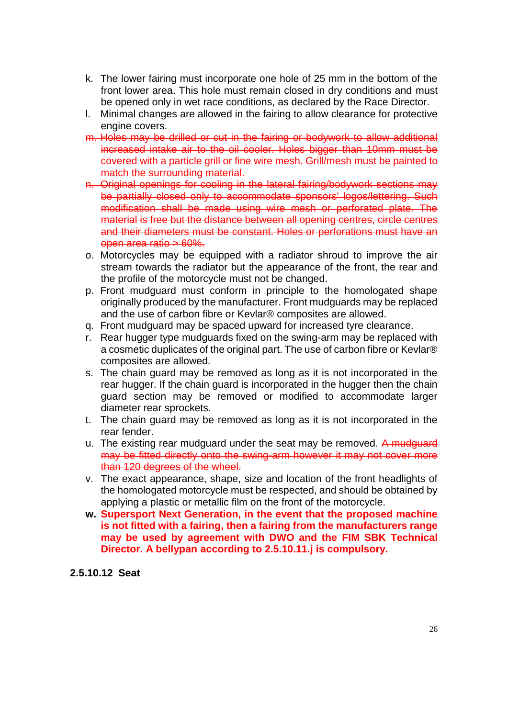- k. The lower fairing must incorporate one hole of 25 mm in the bottom of the front lower area. This hole must remain closed in dry conditions and must be opened only in wet race conditions, as declared by the Race Director.
- l. Minimal changes are allowed in the fairing to allow clearance for protective engine covers.
- m. Holes may be drilled or cut in the fairing or bodywork to allow additional increased intake air to the oil cooler. Holes bigger than 10mm must be covered with a particle grill or fine wire mesh. Grill/mesh must be painted to match the surrounding material.
- n. Original openings for cooling in the lateral fairing/bodywork sections may be partially closed only to accommodate sponsors' logos/lettering. Such modification shall be made using wire mesh or perforated plate. The material is free but the distance between all opening centres, circle centres and their diameters must be constant. Holes or perforations must have an open area ratio > 60%.
- o. Motorcycles may be equipped with a radiator shroud to improve the air stream towards the radiator but the appearance of the front, the rear and the profile of the motorcycle must not be changed.
- p. Front mudguard must conform in principle to the homologated shape originally produced by the manufacturer. Front mudguards may be replaced and the use of carbon fibre or Kevlar® composites are allowed.
- q. Front mudguard may be spaced upward for increased tyre clearance.
- r. Rear hugger type mudguards fixed on the swing-arm may be replaced with a cosmetic duplicates of the original part. The use of carbon fibre or Kevlar® composites are allowed.
- s. The chain guard may be removed as long as it is not incorporated in the rear hugger. If the chain guard is incorporated in the hugger then the chain guard section may be removed or modified to accommodate larger diameter rear sprockets.
- t. The chain guard may be removed as long as it is not incorporated in the rear fender.
- u. The existing rear mudguard under the seat may be removed. A mudguard may be fitted directly onto the swing-arm however it may not cover more than 120 degrees of the wheel.
- v. The exact appearance, shape, size and location of the front headlights of the homologated motorcycle must be respected, and should be obtained by applying a plastic or metallic film on the front of the motorcycle.
- **w. Supersport Next Generation, in the event that the proposed machine is not fitted with a fairing, then a fairing from the manufacturers range may be used by agreement with DWO and the FIM SBK Technical Director. A bellypan according to 2.5.10.11.j is compulsory.**

**2.5.10.12 Seat**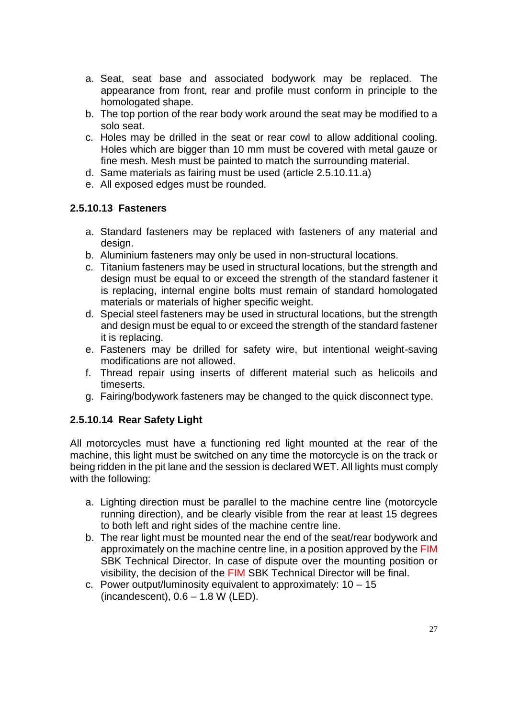- a. Seat, seat base and associated bodywork may be replaced. The appearance from front, rear and profile must conform in principle to the homologated shape.
- b. The top portion of the rear body work around the seat may be modified to a solo seat.
- c. Holes may be drilled in the seat or rear cowl to allow additional cooling. Holes which are bigger than 10 mm must be covered with metal gauze or fine mesh. Mesh must be painted to match the surrounding material.
- d. Same materials as fairing must be used (article 2.5.10.11.a)
- e. All exposed edges must be rounded.

#### **2.5.10.13 Fasteners**

- a. Standard fasteners may be replaced with fasteners of any material and design.
- b. Aluminium fasteners may only be used in non-structural locations.
- c. Titanium fasteners may be used in structural locations, but the strength and design must be equal to or exceed the strength of the standard fastener it is replacing, internal engine bolts must remain of standard homologated materials or materials of higher specific weight.
- d. Special steel fasteners may be used in structural locations, but the strength and design must be equal to or exceed the strength of the standard fastener it is replacing.
- e. Fasteners may be drilled for safety wire, but intentional weight-saving modifications are not allowed.
- f. Thread repair using inserts of different material such as helicoils and timeserts.
- g. Fairing/bodywork fasteners may be changed to the quick disconnect type.

#### **2.5.10.14 Rear Safety Light**

All motorcycles must have a functioning red light mounted at the rear of the machine, this light must be switched on any time the motorcycle is on the track or being ridden in the pit lane and the session is declared WET. All lights must comply with the following:

- a. Lighting direction must be parallel to the machine centre line (motorcycle running direction), and be clearly visible from the rear at least 15 degrees to both left and right sides of the machine centre line.
- b. The rear light must be mounted near the end of the seat/rear bodywork and approximately on the machine centre line, in a position approved by the FIM SBK Technical Director. In case of dispute over the mounting position or visibility, the decision of the FIM SBK Technical Director will be final.
- c. Power output/luminosity equivalent to approximately: 10 15 (incandescent),  $0.6 - 1.8$  W (LED).